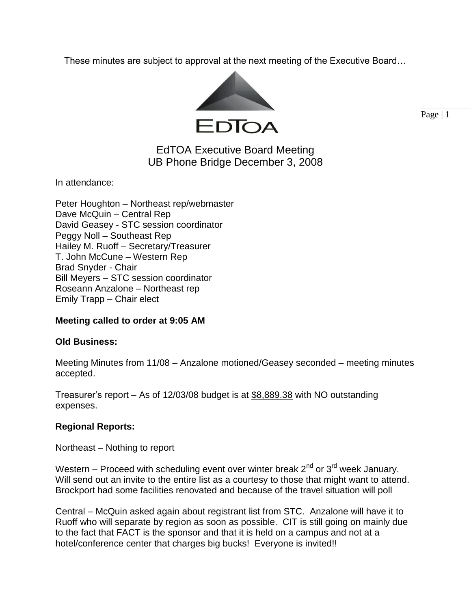These minutes are subject to approval at the next meeting of the Executive Board…



Page | 1

# EdTOA Executive Board Meeting UB Phone Bridge December 3, 2008

In attendance:

## **Meeting called to order at 9:05 AM**

## **Old Business:**

Meeting Minutes from 11/08 – Anzalone motioned/Geasey seconded – meeting minutes accepted.

Treasurer's report – As of 12/03/08 budget is at \$8,889.38 with NO outstanding expenses.

## **Regional Reports:**

Northeast – Nothing to report

Western – Proceed with scheduling event over winter break  $2^{nd}$  or  $3^{rd}$  week January. Will send out an invite to the entire list as a courtesy to those that might want to attend. Brockport had some facilities renovated and because of the travel situation will poll

Central – McQuin asked again about registrant list from STC. Anzalone will have it to Ruoff who will separate by region as soon as possible. CIT is still going on mainly due to the fact that FACT is the sponsor and that it is held on a campus and not at a hotel/conference center that charges big bucks! Everyone is invited!!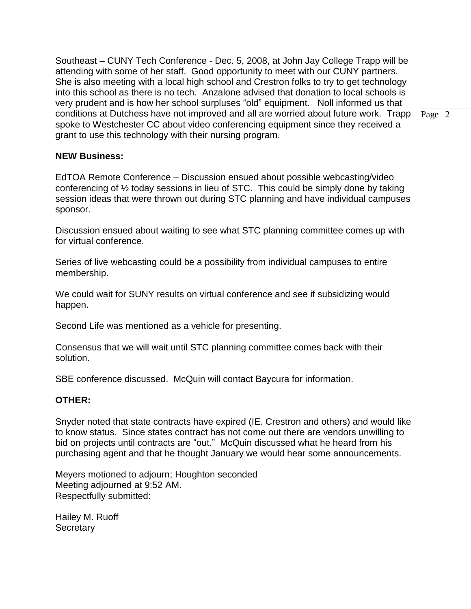Southeast – CUNY Tech Conference - Dec. 5, 2008, at John Jay College Trapp will be attending with some of her staff. Good opportunity to meet with our CUNY partners. She is also meeting with a local high school and Crestron folks to try to get technology into this school as there is no tech. Anzalone advised that donation to local schools is very prudent and is how her school surpluses "old" equipment. Noll informed us that conditions at Dutchess have not improved and all are worried about future work. Trapp spoke to Westchester CC about video conferencing equipment since they received a grant to use this technology with their nursing program.

#### **NEW Business:**

EdTOA Remote Conference – Discussion ensued about possible webcasting/video conferencing of ½ today sessions in lieu of STC. This could be simply done by taking session ideas that were thrown out during STC planning and have individual campuses sponsor.

Discussion ensued about waiting to see what STC planning committee comes up with for virtual conference.

Series of live webcasting could be a possibility from individual campuses to entire membership.

We could wait for SUNY results on virtual conference and see if subsidizing would happen.

Second Life was mentioned as a vehicle for presenting.

Consensus that we will wait until STC planning committee comes back with their solution.

SBE conference discussed. McQuin will contact Baycura for information.

#### **OTHER:**

Snyder noted that state contracts have expired (IE. Crestron and others) and would like to know status. Since states contract has not come out there are vendors unwilling to bid on projects until contracts are "out." McQuin discussed what he heard from his purchasing agent and that he thought January we would hear some announcements.

Meyers motioned to adjourn; Houghton seconded Meeting adjourned at 9:52 AM. Respectfully submitted:

Hailey M. Ruoff **Secretary** 

Page | 2